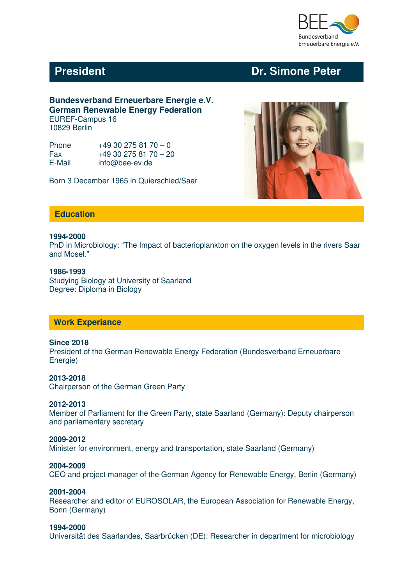

# **President Critical President Critical President Critical President Critical President Critical President Critical President Critical President Critical President Critical President Critical President Critical President Cr**

#### **Bundesverband Erneuerbare Energie e.V. German Renewable Energy Federation** EUREF-Campus 16 10829 Berlin

| Phone  | $+49302758170 - 0$  |
|--------|---------------------|
| Fax    | $+49302758170 - 20$ |
| E-Mail | info@bee-ev.de      |

Born 3 December 1965 in Quierschied/Saar



## **Education**

#### **1994-2000**

PhD in Microbiology: "The Impact of bacterioplankton on the oxygen levels in the rivers Saar and Mosel."

#### **1986-1993**

Studying Biology at University of Saarland Degree: Diploma in Biology

#### **Work Experiance**

#### **Since 2018**

President of the German Renewable Energy Federation (Bundesverband Erneuerbare Energie)

#### **2013-2018**

Chairperson of the German Green Party

#### **2012-2013**

Member of Parliament for the Green Party, state Saarland (Germany): Deputy chairperson and parliamentary secretary

#### **2009-2012**

Minister for environment, energy and transportation, state Saarland (Germany)

#### **2004-2009**

CEO and project manager of the German Agency for Renewable Energy, Berlin (Germany)

#### **2001-2004**

Researcher and editor of EUROSOLAR, the European Association for Renewable Energy, Bonn (Germany)

#### **1994-2000**

Universität des Saarlandes, Saarbrücken (DE): Researcher in department for microbiology